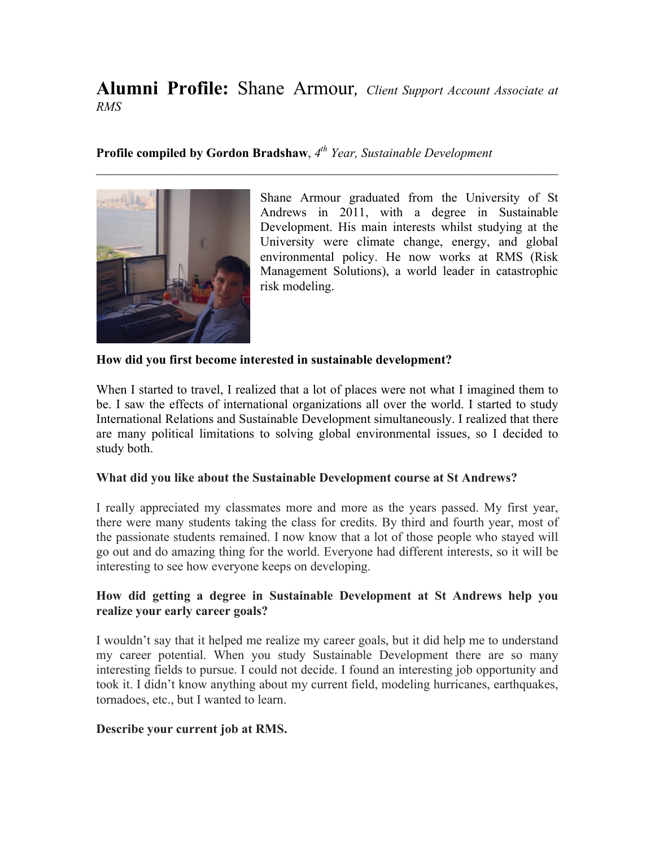# **Alumni Profile:** Shane Armour*, Client Support Account Associate at RMS*

 $\mathcal{L}_\text{max}$  , and the contribution of the contribution of the contribution of the contribution of the contribution of the contribution of the contribution of the contribution of the contribution of the contribution of t

## **Profile compiled by Gordon Bradshaw**, *4th Year, Sustainable Development*



Shane Armour graduated from the University of St Andrews in 2011, with a degree in Sustainable Development. His main interests whilst studying at the University were climate change, energy, and global environmental policy. He now works at RMS (Risk Management Solutions), a world leader in catastrophic risk modeling.

#### **How did you first become interested in sustainable development?**

When I started to travel, I realized that a lot of places were not what I imagined them to be. I saw the effects of international organizations all over the world. I started to study International Relations and Sustainable Development simultaneously. I realized that there are many political limitations to solving global environmental issues, so I decided to study both.

#### **What did you like about the Sustainable Development course at St Andrews?**

I really appreciated my classmates more and more as the years passed. My first year, there were many students taking the class for credits. By third and fourth year, most of the passionate students remained. I now know that a lot of those people who stayed will go out and do amazing thing for the world. Everyone had different interests, so it will be interesting to see how everyone keeps on developing.

## **How did getting a degree in Sustainable Development at St Andrews help you realize your early career goals?**

I wouldn't say that it helped me realize my career goals, but it did help me to understand my career potential. When you study Sustainable Development there are so many interesting fields to pursue. I could not decide. I found an interesting job opportunity and took it. I didn't know anything about my current field, modeling hurricanes, earthquakes, tornadoes, etc., but I wanted to learn.

#### **Describe your current job at RMS.**